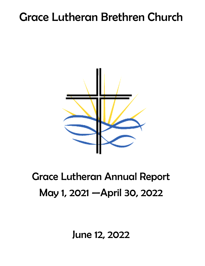# Grace Lutheran Brethren Church



## Grace Lutheran Annual Report May 1, 2021 —April 30, 2022

June 12, 2022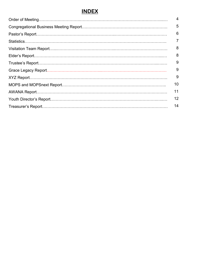## **INDEX**

| 4              |
|----------------|
| 5              |
| 6              |
| $\overline{7}$ |
| 8              |
| 8              |
| 9              |
| 9              |
| 9              |
| 10             |
| 11             |
| 12             |
| 14             |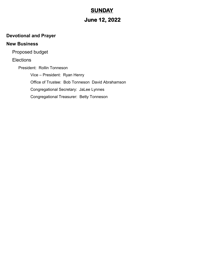## **SUNDAY**

## **June 12, 2022**

## **Devotional and Prayer**

## **New Business**

Proposed budget

**Elections** 

President: Rollin Tonneson Vice – President: Ryan Henry Office of Trustee: Bob Tonneson David Abrahamson Congregational Secretary: JaLee Lynnes Congregational Treasurer: Betty Tonneson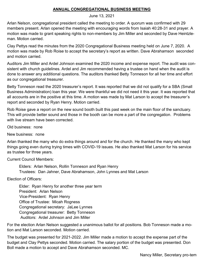#### **ANNUAL CONGREGATIONAL BUSINESS MEETING**

June 13, 2021

Arlan Nelson, congregational president called the meeting to order. A quorum was confirmed with 29 members present. Arlan opened the meeting with encouraging words from Isaiah 40:28-31 and prayer. A motion was made to grant speaking rights to non-members by Jim Miller and seconded by Dave Heintzleman. Motion carried.

Clay Pettys read the minutes from the 2020 Congregational Business meeting held on June 7, 2020. A motion was made by Rob Roise to accept the secretary's report as written. Dave Abrahamson seconded and motion carried.

Auditors Jim Miller and Ardel Johnson examined the 2020 income and expense report. The audit was consistent with church guidelines. Ardel and Jim recommended having a trustee on hand when the audit is done to answer any additional questions. The auditors thanked Betty Tonneson for all her time and effort as our congregational treasurer.

Betty Tonneson read the 2020 treasurer's report. It was reported that we did not qualify for a SBA (Small Business Administration) loan this year. We were thankful we did not need it this year. It was reported that all accounts are in the positive at this time. A motion was made by Mat Larson to accept the treasurer's report and seconded by Ryan Henry. Motion carried.

Rob Roise gave a report on the new sound booth built this past week on the main floor of the sanctuary. This will provide better sound and those in the booth can be more a part of the congregation. Problems with live stream have been corrected.

Old business: none

New business: none

Arlan thanked the many who do extra things around and for the church. He thanked the many who kept things going even during trying times with COVID-19 issues. He also thanked Mat Larson for his service as trustee for three years.

Current Council Members:

Elders: Arlan Nelson, Rollin Tonneson and Ryan Henry Trustees: Dan Jahner, Dave Abrahamson, John Lynnes and Mat Larson

Election of Officers:

Elder: Ryan Henry for another three year term President: Arlan Nelson Vice-President: Ryan Henry Office of Trustee: Micah Rogness Congregational secretary: JaLee Lynnes Congregational treasurer: Betty Tonneson Auditors: Ardel Johnson and Jim Miller

For the election Arlan Nelson suggested a unanimous ballot for all positions. Bob Tonneson made a motion and Mat Larson seconded. Motion carried.

The budget was presented for 2021-2022. Jim Miller made a motion to accept the expense part of the budget and Clay Pettys seconded. Motion carried. The salary portion of the budget was presented. Don Boll made a motion to accept and Dave Abrahamson seconded. MC.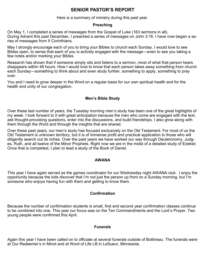## **SENIOR PASTOR'S REPORT**

Here is a summary of ministry during this past year.

#### **Preaching**

On May 1, I completed a series of messages from the Gospel of Luke (163 sermons in all). During Advent this past December, I preached a series of messages on John 3:16. I have now began a series of messages from II Corinthians.

May I strongly encourage each of you to bring your Bibles to church each Sunday. I would love to see Bibles open, to sense that each of you is actively engaged with the message—even to see you taking a few notes and/or marking your Bibles.

Research has shown that if someone simply sits and listens to a sermon, most of what that person hears disappears within 48 hours. How I would love to know that each person takes away something from church each Sunday—something to think about and even study further, something to apply, something to pray over.

You and I need to grow deeper in the Word on a regular basis for our own spiritual health and for the health and unity of our congregation.

#### **Men's Bible Study**

Over these last number of years, the Tuesday morning men's study has been one of the great highlights of my week. I look forward to it with great anticipation because the men who come are engaged with the text, ask thought-provoking questions, enter into the discussions, and build friendships. I also grow along with them through the Word and through the insights that are shared.

Over these past years, our men's study has focused exclusively on the Old Testament. For most of us the Old Testament is unknown territory, but it is of immense profit and practical application to those who will diligently search out its riches. Over the past years we have worked our way through Deuteronomy, Judges, Ruth, and all twelve of the Minor Prophets. Right now we are in the midst of a detailed study of Ezekiel. Once that is completed, I plan to lead a study of the Book of Daniel.

#### **AWANA**

This year I have again served as the games coordinator for our Wednesday night AWANA club. I enjoy the opportunity because the kids discover that I'm not just the person up front on a Sunday morning, but I'm someone who enjoys having fun with them and getting to know them.

#### **Confirmation**

Because the number of confirmation students is small, first and second year confirmation classes continue to be combined into one. This year our focus was on the Ten Commandments and the Lord's Prayer. Two young people were confirmed this April.

#### **Funerals**

Again this year I have been called on to officiate at several funerals outside of Bottineau. The funerals were at Our Redeemer's in Minot and at Word of Life LB in LeSueur, Minnesota.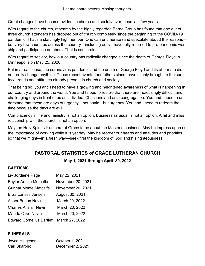Let me share several closing thoughts.

Great changes have become evident in church and society over these last few years.

With regard to the church, research by the highly regarded Barna Group has found that one out of three church attenders has dropped out of church completely since the beginning of the COVID-19 pandemic. That's a startlingly high number! One can enumerate (and speculate about) the reasons but very few churches across the country—including ours—have fully returned to pre-pandemic worship and participation numbers. That is concerning.

With regard to society, how our country has radically changed since the death of George Floyd in Minneapolis on May 25, 2020!

But in a real sense, the coronavirus pandemic and the death of George Floyd and its aftermath did not really change anything. Those recent events (and others since) have simply brought to the surface trends and attitudes already present in church and society.

That being so, you and I need to have a growing and heightened awareness of what is happening in our country and around the world. You and I need to realize that there are increasingly difficult and challenging days in front of us as individual Christians and as a congregation. You and I need to understand that these are days of urgency—not panic—but urgency. You and I need to redeem the time because the days are evil.

Complacency in life and ministry is not an option. Business as usual is not an option. A hit and miss relationship with the church is not an option.

May the Holy Spirit stir us here at Grace to be about the Master's business. May he impress upon us the importance of working while it is yet day. May he reorder our hearts and attitudes and priorities so that we might—in a fresh way—seek first the kingdom of God and his righteousness.

## **PASTORAL STATISTICS of GRACE LUTHERAN CHURCH**

**May 1, 2021 through April 30, 2022**

#### **BAPTISMS**

| Liv Jordiene Page                | May 22, 2021      |
|----------------------------------|-------------------|
| <b>Baylor Archie Metcafle</b>    | November 20, 2021 |
| Gunnar Monte Metcalfe            | November 20, 2021 |
| Eliza Larissa Jensen             | August 30, 2021   |
| Asher Bodan Nevin                | March 20, 2022    |
| <b>Charles Alistair Nevin</b>    | March 20, 2022    |
| Maude Olive Nevin                | March 20, 2022    |
| <b>Edward Cornelius Bartlett</b> | March 27, 2022    |

#### **FUNERALS**

| Joyce Helgeson | October 1, 2021  |
|----------------|------------------|
| Carl Skarphol  | December 2, 2021 |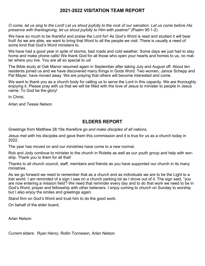### **2021-2022 VISITATION TEAM REPORT**

*O come, let us sing to the Lord! Let us shout joyfully to the rock of our salvation. Let us come before His presence with thanksgiving, let us shout joyfully to Him with psalms!" (*Psalm 95:1-2)

We have so much to be thankful and praise the Lord for! As God's Word is read and studied it will bear fruit! As we are able, we want to bring that Word to all the people we visit. There is usually a need of some kind that God's Word ministers to.

We have had a good year in spite of storms, bad roads and cold weather. Some days we just had to stay home and make phone calls! We thank God for all those who open your hearts and homes to us, no matter where you live. You are all so special to us!

The Bible study at Oak Manor resumed again in September after taking July and August off. About ten residents joined us and we have discovered many things in Gods Word. Two women, Janice Schepp and Pat Mayer, have moved away. We are praying that others will become interested and come.

We want to thank you as a church body for calling us to serve the Lord in this capacity. We are thoroughly enjoying it. Please pray with us that we will be filled with the love of Jesus to minister to people in Jesus name. To God be the glory!

In Christ,

Arlan and Tessie Nelson

## **ELDERS REPORT**

Greetings from Matthew 28:19a *therefore go and make disciples of all nations.*

Jesus met with his disciples and gave them this commission and it is true for us as a church today in 2022.

The year has moved on and our ministries have come to a new normal.

Rob and Jody continue to minister to the church in Rolette as well as our youth group and help with worship. Thank you to them for all that!

Thanks to all church council, staff, members and friends as you have supported our church in its many ministries.

As we go forward we need to remember that as a church and as individuals we are to be the Light to a lost world. I am reminded of a sign I saw on a church parking lot as I drove out of it. The sign said, "you are now entering a mission field"! We need that reminder every day and to do that work we need to be in God's Word, prayer and fellowship with other believers. I enjoy coming to church on Sunday to worship but I also enjoy the smiles and greetings again.

Stand firm on God's Word and trust him to do the good work.

On behalf of the elder board,

Arlan Nelson

Current elders: Ryan Henry, Rollin Tonneson, Arlan Nelson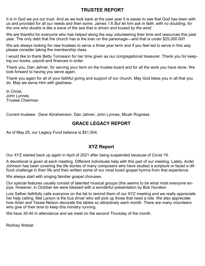## **TRUSTEE REPORT**

It is in God we put our trust. And as we look back at the past year it is easier to see that God has been with us and provided for all our needs and then some. James 1:6 *But let him ask in faith, with no doubting, for the one who doubts is like a wave of the sea that is driven and tossed by the wind.*

We are thankful for everyone who has helped along the way volunteering their time and resources this past year. The only debt that the church has is the loan on the parsonage—and that is under \$25,000.00!!

We are always looking for new trustees to serve a three year term and if you feel led to serve in this way please consider taking the membership class.

I would like to thank Betty Tonneson for her time given as our congregational treasurer. Thank you for keeping our books, payroll and finances in order.

Thank you, Dan Jahner, for serving your term on the trustee board and for all the work you have done. We look forward to having you serve again.

Thank you again for all of your faithful giving and support of our church. May God bless you in all that you do. May we serve Him with gladness.

In Christ, John Lynnes Trustee Chairman

Current trustees: Dave Abrahamson, Dan Jahner, John Lynnes, Micah Rogness

## **GRACE LEGACY REPORT**

As of May 25, our Legacy Fund balance is \$51,504.

### **XYZ Report**

Our XYZ started back up again in April of 2021 after being suspended because of Covid 19.

A devotional is given at each meeting. Different individuals help with this part of our meeting. Lately, Ardel Johnson has been covering the life stories of many composers who have studied a scripture or faced a difficult challenge in their life and then written some of our most loved gospel hymns from that experience.

We always start with singing familiar gospel choruses.

Our special features usually consist of talented musical groups (this seems to be what most everyone enjoys. However, in October we were blessed with a wonderful presentation by Bob Hunskor.

Lois Sather faithfully calls everyone on the list to remind them of our XYZ meeting and we really appreciate her help calling. Mat Larson is the bus driver who will pick up those that need a ride. We also appreciate how Arlan and Tessie Nelson decorate the tables so attractively each month. There are many volunteers who give of their time to keep this ministry running.

We have 30-40 in attendance and we meet on the second Thursday of the month.

Rodney Wetzel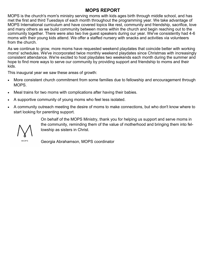#### **MOPS REPORT**

MOPS is the church's mom's ministry serving moms with kids ages birth through middle school, and has met the first and third Tuesdays of each month throughout the programming year. We take advantage of MOPS International curriculum and have covered topics like rest, community and friendship, sacrifice, love and many others as we build community between moms within the church and begin reaching out to the community together. There were also two live guest speakers during our year. We've consistently had 4-6 moms with their young kids attend. We offer a staffed nursery with snacks and activities via volunteers from the church.

As we continue to grow, more moms have requested weekend playdates that coincide better with working moms' schedules. We've incorporated twice monthly weekend playdates since Christmas with increasingly consistent attendance. We're excited to host playdates two weekends each month during the summer and hope to find more ways to serve our community by providing support and friendship to moms and their kids.

This inaugural year we saw these areas of growth:

- More consistent church commitment from some families due to fellowship and encouragement through MOPS.
- Meal trains for two moms with complications after having their babies.
- A supportive community of young moms who feel less isolated.
- A community outreach meeting the desire of moms to make connections, but who don't know where to start looking for parenting support.

MOPS

On behalf of the MOPS Ministry, thank you for helping us support and serve moms in the community, reminding them of the value of motherhood and bringing them into fellowship as sisters in Christ.

Georgia Abrahamson, MOPS coordinator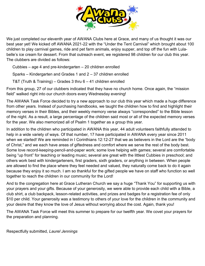

We just completed our eleventh year of AWANA Clubs here at Grace, and many of us thought it was our best year yet! We kicked off AWANA 2021-22 with the "Under the Tent Carnival" which brought about 100 children to play carnival games, ride and pet farm animals, enjoy supper, and top off the fun with Lulabelle's ice cream for dessert. From that outreach event, we registered 98 children for our club this year. The clubbers are divided as follows:

Cubbies – age 4 and pre-kindergarten – 20 children enrolled

Sparks – Kindergarten and Grades 1 and 2 – 37 children enrolled

T&T (Truth & Training) – Grades 3 thru 6 – 41 children enrolled

From this group, 27 of our clubbers indicated that they have no church home. Once again, the "mission field" walked right into our church doors every Wednesday evening!

The AWANA Task Force decided to try a new approach to our club this year which made a huge difference from other years. Instead of purchasing handbooks, we taught the children how to find and highlight their memory verses in their Bibles, and their weekly memory verse always "corresponded" to the Bible lesson of the night. As a result, a large percentage of the children said most or all of the expected memory verses for the year. We also memorized all of Psalm 1 together as a group this year.

In addition to the children who participated in AWANA this year, 44 adult volunteers faithfully attended to help in a wide variety of ways. Of that number, 17 have participated in AWANA every year since 2011 when we started! We are reminded in I Corinthians 12:12-27 that we as believers in the Lord are the "body of Christ," and we each have areas of giftedness and comfort where we serve the rest of the body best. Some love record-keeping-pencil-and-paper work; some love helping with games; several are comfortable being "up front" for teaching or leading music; several are great with the littlest Cubbies in preschool; and others work best with kindergarteners, first graders, sixth graders, or anything in between. When people are allowed to find the place where they feel needed and valued, they naturally come back to do it again because they enjoy it so much. I am so thankful for the gifted people we have on staff who function so well together to reach the children in our community for the Lord!

And to the congregation here at Grace Lutheran Church we say a huge "Thank You" for supporting us with your prayers and your gifts. Because of your generosity, we were able to provide each child with a Bible, a club shirt, a club backpack, lesson-related activities, and prizes and badges for a registration fee of only \$10 per child. Your generosity was a testimony to others of your love for the children in the community and your desire that they know the love of Jesus without worrying about the cost. Again, thank you!

The AWANA Task Force will meet this summer to prepare for our twelfth year. We covet your prayers for the preparation and planning.

Respectfully submitted, *Laurel Jennings*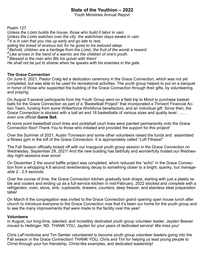## **State of the Youthion – 2022**

Youth Ministries Annual Report

Psalm 127

*Unless the Lord builds the house, those who build it labor in vain. Unless the Lord watches over the city, the watchman stays awake in vain. 2 It is in vain that you rise up early and go late to rest, eating the bread of anxious toil; for he gives to his beloved sleep. <sup>3</sup> Behold, children are a heritage from the Lord, the fruit of the womb a reward. 4 Like arrows in the hand of a warrior are the children of one's youth. <sup>5</sup> Blessed is the man who fills his quiver with them! He shall not be put to shame when he speaks with his enemies in the gate.*

#### **The Grace Connection**

On June 6, 2021, Pastor Craig led a dedication ceremony in the Grace Connection, which was not yet completed, but was able to be used for recreational activities. The youth group helped to put on a banquet in honor of those who supported the building of the Grace Connection through their gifts, by volunteering, and praying.

On August 5 several participants from the Youth Group went on a field trip to Minot to purchase basketballs for the Grace Connection as part of a "Basketball Project" that incorporated a Thrivent Financial Action Team, funding from some Wilberforce Workforce benefactors, and an individual gift. Since then, the Grace Connection is stocked with a ball art and 18 basketballs of various sizes and quality level . …. . *even* one official **Game Ball.**

At some point basketball court lines and pickleball court lines were painted permanently onto the Grace Connection floor! Thank You to those who initiated and provided the support for this project!

Over the Summer of 2021, Austin Tonneson and some other volunteers raised the funds and assembled a fitness gym in the loft of the Grace Connection. It is appropriately called "Loft Fitness!"

The Fall Season officially kicked off with our inaugural youth group session in the Grace Connection on Wednesday, September 29, 2021! And the new building has faithfully and wonderfully hosted our Wednesday night sessions ever since!

On December 2 the sound baffle project was completed, which reduced the "echo" in the Grace Connection from a whopping 4.8 second reverberating decay to something closer to a bright, spanky, but *manageable* 2 - 2.5 seconds.

Over the course of time, the Grace Connection kitchen gradually took shape, starting with just a plastic table and coolers and ending up as a full-service kitchen in mid-February, 2022 stocked and *complete* with a refrigerator, oven, stove, sink, cupboards, drawers, counters, deep freezer, and stainless steel preparation table!

On March 6 the congregation was invited to the Grace Connection grand opening open house lunch after church to introduce everyone to the Grace Connection *now* that it's been our home for the youth group and to see the many improvements that were made to the facility over the year!

#### **Volunteers**

In August, our long-time, talented, and incredibly dedicated youth group volunteer leader, Jayden Beaver moved to Hettinger, ND. THANK YOU, Jayden for your years of dedicated service! *We miss you!*

Chris LaFromboise and Tim Semler volunteered to become youth group volunteer leaders going into the Fall season in the Grace Connection! THANK YOU, Chris and Tim for helping us lead young people to Christ through your fun friendship, Christ-like examples, and dedicated leadership!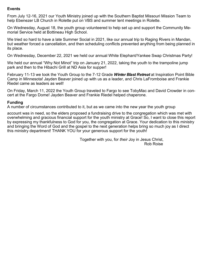#### **Events**

From July 12-16, 2021 our Youth Ministry joined up with the Southern Baptist Missouri Mission Team to help Ebenezer LB Church in Rolette put on VBS and summer tent meetings in Rolette.

On Wednesday, August 18, the youth group volunteered to help set up and support the Community Memorial Service held at Bottineau High School.

We tried so hard to have a late Summer Social in 2021, like our annual trip to Raging Rivers in Mandan, but weather forced a cancellation, and then scheduling conflicts prevented anything from being planned in its place.

On Wednesday, December 22, 2021 we held our annual White Elephant/Yankee Swap Christmas Party!

We held our annual "Why Not Minot" trip on January 21, 2022, taking the youth to the trampoline jump park and then to the Hibachi Grill at ND Asia for supper!

February 11-13 we took the Youth Group to the 7-12 Grade *Winter Blast Retreat* at Inspiration Point Bible Camp in Minnesota! Jayden Beaver joined up with us as a leader, and Chris LaFromboise and Frankie Riedel came as leaders as well!

On Friday, March 11, 2022 the Youth Group traveled to Fargo to see TobyMac and David Crowder in concert at the Fargo Dome! Jayden Beaver and Frankie Riedel helped chaperone.

#### **Funding**

A number of circumstances contributed to it, but as we came into the new year the youth group

account was in need, so the elders proposed a fundraising drive to the congregation which was met with overwhelming and gracious financial support for the youth ministry at Grace! So, I want to close this report by expressing my thankfulness to God for you, the congregation at Grace. Your dedication to this ministry and bringing the Word of God and the gospel to the next generation helps bring so much joy as I direct this ministry department! THANK YOU for your generous support for the youth!

> Together with you, for *their* Joy in Jesus Christ, Rob Roise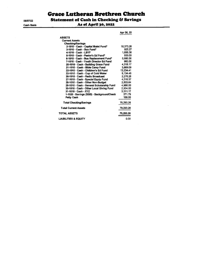05/07/22 **Cash Basis** 

 $\overline{\phantom{a}}$ 

**Grace Lutheran Brethren Church** 

**Statement of Cash in Checking & Savings** 

#### As of April 30, 2022

 $\sim$   $\sim$   $\sim$ 

|                                          | Apr 30, 22 |
|------------------------------------------|------------|
| <b>ASSETS</b>                            |            |
| <b>Current Assets</b>                    |            |
| Checking/Savings                         |            |
| 2-1010 · Cash - Capital Maint Fund*      | 18.373.26  |
| 3-1010 · Cash - Bus Fund*                | 925.27     |
| 4-1010 · Cash - LBYF                     | 1,685.38   |
| 5-1010 - Cash - Pastor's Ed Fund*        | 500.00     |
| 6-1010 · Cash - Bus Replacement Fund*    | 5,600.00   |
| 7-1010 . Cash - Youth Director Ed Fund   | 960.00     |
| 20-1010 · Cash - Building Grace Fund     | 4,318.17   |
| 21-1010 · Cash - Bible Camp Fund         | 3,869.09   |
| 22-1010 Cash - Children's Ed Fund        | 13.234.41  |
| 23-1010 Cash - Cup of Cold Water         | 9,134.45   |
| 26-1010 · Cash - Radio Broadcast         | 2.276.26   |
| 27-1010 · Cash - Special Equip Fund      | 4.216.37   |
| 28-1010 · Cash - Other Non-Budget        | 2,503.64   |
| 29-1010 Cash - General Scholarship Fund  | 4.980.00   |
| 30-1010 · Cash - Other Local Giving Fund | 2.934.00   |
| 31-1010 - Cash - XYZ                     | 3.311.17   |
| 1-1020 · Savings (SBB) - BackgroundCheck | 371.79     |
| Petty Cash                               | 100.00     |
| Total Checking/Savings                   | 79,293,26  |
| <b>Total Current Assets</b>              | 79.293.26  |
| TOTAL ASSETS                             | 79,293.26  |
| <b>LIABILITIES &amp; EQUITY</b>          | 0.00       |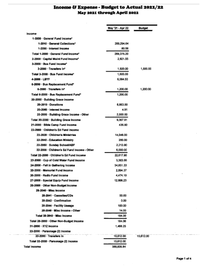## Income & Expense - Budget to Actual 2021/22<br>May 2021 through April 2022

|                                             | May '21 - Apr 22 | <b>Budget</b> |
|---------------------------------------------|------------------|---------------|
| Income                                      |                  |               |
| 1-2000 - General Fund Income*               |                  |               |
| 1-2010 · General Collections*               | 209.294.64       |               |
| 1-2090 - Interest Income                    | 80.56            |               |
| Total 1-2000 - General Fund Income"         | 269,375.20       |               |
| 2-2000 - Capital Maint Fund Income*         | 2.921.55         |               |
| 3-2000 - Bus Fund Income*                   |                  |               |
| 3-2000 Transfers In*                        | 1,500.00         | 1,500,00      |
| Total 3-2000 - Bus Fund income*             | 1,500.00         |               |
| 4-2000 - LEYF                               | 6,564,50         |               |
| 6-2000 - Bus Replacement Fund*              |                  |               |
| 6-2090 · Transfers In"                      | 1,200.00         | 1,200,00      |
| Total 6-2000 · Bus Replacement Fund"        | 1,200.00         |               |
| 20-2000 · Building Grace Income             |                  |               |
| 20-2010 - Donations                         | 6.863.00         |               |
| 20-2060 - Interest Income                   | 4.91             |               |
| 20-2000 · Building Grace Income - Other     | 2,500.00         |               |
| Total 20-2000 - Building Grace Income       | 9,367.91         |               |
| 21-2000 - Bible Camp Fund Income            | 436.50           |               |
| 22-2000 Children's Ed Fund Income           |                  |               |
| 22-2020 - Childran's Ministries             | 14.048.00        |               |
| 22-2040 - Education Ministry                | 356.00           |               |
| 22-2060 Sunday School/ABF                   | 2.213.90         |               |
| 22-2000 · Children's Ed Fund Income - Other | 6,000.00         |               |
| Total 22-2000 - Children s Ed Fund Income   | 22,617.90        |               |
| 23-2000 · Cup of Cold Water Fund income     | 3,383,00         |               |
| 24-2000 - Fall in Gathering Income          | 34,851.33        |               |
| 25-2000 - Memorial Fund Income              | 2.894.37         |               |
| 26-2000 · Radio Fund Income                 | 4,474.10         |               |
| 27-2000 - Special Equip Fund Income         | 12,998.23        |               |
| 28-2000 Other Non-Budget Income             |                  |               |
| 28-2040 - Misc Income                       |                  |               |
| 28-2041 Cassettes/CDs                       | 50.00            |               |
| 28-2042 Confirmation                        | 0.00             |               |
| 28-2044 - Facility Useacre                  | 100.00           |               |
| 28-2040 - Misc Income - Other               | 14.00            |               |
| Total 28-2040 - Misc Income                 | 184.00           |               |
| Total 28-2000 - Other Non-Budget Income     | 164.00           |               |
| 31-2000 · XYZ Income                        | 1.468.25         |               |
| 33-2000 - Parsonage (2) Income              |                  |               |
| 33-2090 Transfers In                        | 15,612.00        | 15,612.00     |
| Total 33-2000 - Parsonage (2) Income        | 15,612.00        |               |
| <b>Total Income</b>                         | 389,826.84       |               |

and and an inter-

and a finish service control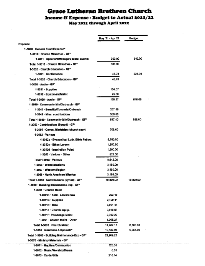## **Grace Lutheran Brethren Church** Income & Expense - Budget to Actual 2021/22 May 2021 through April 2022

|                                               | May '21 - Apr 22 | <b>Budget</b> |
|-----------------------------------------------|------------------|---------------|
| Expense                                       |                  |               |
| 1-3000 · General Fund Expense*                |                  |               |
| 1-3010 - Church Ministries - GF*              |                  |               |
| 1-3011 Speekers/Mileage/Special Events        | 300.00           | 840.00        |
| Total 1-3010 · Church Ministries - GF*        | 300.00           |               |
| 1-3020 · Church Education - GF*               |                  |               |
| 1-3021 - Confirmation                         | 48.78            | 228.00        |
| Total 1-3020 · Church Education - GP*         | 46.78            |               |
| 1-3030 - Andio - GET                          |                  |               |
| 1-3031 - Supplies                             | 104.57           |               |
| 1-3032 · Equipment/Maint                      | 25.00            |               |
| Total 1-3030 - Audio - GF*                    | 129.67           | 840.00        |
| 1-3040 - Community Min/Outreach - GF*         |                  |               |
| 1-3041 - Benefits/Concerts/Outreach           | 257.40           |               |
| 1-3042 Misc. contributions                    | 380.00           |               |
| Total 1-3040 - Community Min/Outreach - GF*   | 617.40           | <b>SSS 00</b> |
| 1-3060 Contributions (Synod) - GF*            |                  |               |
| 1-3081 - Comm. Ministries (church serv)       | 708.00           |               |
| 1-3952 - Various                              |                  |               |
| 1-3052b - Evangelical Luth. Bible Fellow.     | 5,700.00         |               |
| 1-3082c - Ethan Larson                        | 1,560,00         |               |
| 1-3082d Inspiration Point                     | 1,560.00         |               |
| 1-3052 - Various - Other                      | 822.00           |               |
| Total 1-3052 - Various                        | 9.642.00         |               |
| 1-3056 - World Missions                       | 3.180.00         |               |
| 1-3057 - Western Region                       | 3,180.00         |               |
| 1-3058 - North American Mission               | 3,180.00         |               |
| Total 1-3060 - Contributions (Synod) - GF*    | 19,890.00        | 19,890.00     |
| 1-3060 · Building Maintenance Exp - GF*       |                  |               |
| 1-3061 - Church Maint                         |                  |               |
| 1-3061a Yard - Lawnisnow                      | 263.15           |               |
| 1-3061b - Supplies                            | 2,409.44         |               |
| 1-3061d - Misc.                               | 3,001.44         |               |
| 1-3061e - Church equip.                       | 2,010.67         |               |
| 1-3061f · Parsonage Maint                     | 2,792.20         |               |
| 1-3081 - Church Maint - Other                 | 1,305.27         |               |
| Total 1-3061 - Church Maint                   | 11.782.17        | 6.180.00      |
| 1-3063 - Insurance & Specials*                | 10.187.06        | 9,258.95      |
| Total 1-3060 - Building Maintenance Exp - GF* | 21,969.23        |               |
| 1-3070 - Ministry Materials - GP*             |                  |               |
| 1-3071 · Baptism/Communion                    | 123.30           |               |
| 1-3072 · Music/Worship/Drama                  | 0.00.            |               |
| 1-3073 Cards/Gifts                            | 218.14           |               |

 $\label{eq:3.1} \begin{split} \mathcal{L}_{\text{max}}(\mathbf{r},\mathbf{r}) = \mathcal{L}_{\text{max}}(\mathbf{r},\mathbf{r}) = \mathcal{L}_{\text{max}}(\mathbf{r},\mathbf{r}) \end{split}$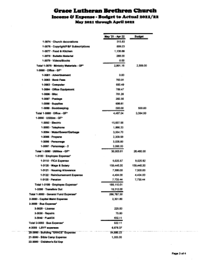### **Grace Lutheran Brethren Church** Income & Expense - Budget to Actual 2021/22 May 2021 through April 2022

|                                         | May '21 - Apr 22 | <b>Budget</b> |
|-----------------------------------------|------------------|---------------|
| 1-3074 - Church deparations             | 315.33           |               |
| 1-3075 - Copyright/F&F Subscriptions    | 809.23           |               |
| 1-3077 - Food & Kitchen                 | 1,136,00         |               |
| 1.3478 / Reibelin Meterial              | 288.00.          |               |
| 1-3079 - Wales Climates                 | 0.00             |               |
| Total 1-3070 - Ministry Materials - GP* | 2,891.18         | 2,506.00      |
| 1.3000 - Office - GP*                   |                  |               |
| 1-3001 - Advertisement:                 | D.OO             |               |
| 1-3002 - Bank Fess.                     | 783.91           |               |
| 1-3083 - Computer                       | 683.49           |               |
| 1-3084 Office Equipment                 | 788.47           |               |
| 1-3006 - Mino                           | 781.26           |               |
| 1-3087 - Postage                        | 287.80           |               |
| 1-3068 - Supplies                       | 696.61           |               |
| 1-3009 - Bookkeeping                    | 500.00           | 500.00        |
| Total 1-5580 - Office - OF*             | 4,487.04         | 3 384 00      |
| 1-3090 - USBRies - GIFT                 |                  |               |
| 1-3092 - Blachte.                       | 15,657.00        |               |
| 1-3033 · Telephone                      | 1,890.33         |               |
| 1-3094 - WaterSewer/Garbage             | 3.654.70         |               |
| 1-306 Progres                           | 2,309.58         |               |
| 1-3096 - Parsonage                      | 3,578,00         |               |
| 1-3097 - Parsonage - 2                  | 3,090.00         |               |
| Total 1-3000 (Diffices - CIP)           | 30,003.61        | 26.480.00     |
| 1-2100 Employee Expense*                |                  |               |
| 1-8110 - FICA Expense.                  | 9.895.87         | 9.026.92      |
| 1-3120 - Wage & Salary                  | 159.445.30       | 159,445.20    |
| 1-3121 - Housing Allowance              | 7,500,00         | 7,500,00      |
| 1-3122 - Reimburgement Expense          | 4,404.00         | 4,404.00      |
| 1-3125 - Penalton                       | 7.735.44         | 7.735.44      |
| Total 1-3100 - Employee Experise*       | 188,110,61       |               |
| 1-3200 - Transfers Cut                  | 18, 312, 00      |               |
| Total 1-8800 - General Fund Expense*    | 204.767.30       |               |
| 2-3000 - Capital Maint Expanse          | 2,301.60         |               |
| 3-3000 · Bus Expense"                   |                  |               |
| 3-3020 - License                        | 225.00           |               |
| 3-3030 - Regales                        | 76.00            |               |
| 3.2040 - Freddith                       | 632.11           |               |
| Total 3-1000 - Rus Expense*             | 900:11           |               |
| 4-3000 - LBYF expenses.                 | 6.678.37         |               |
| 20-3000 - Building "GRACE" Expanse      | <b>SA 880.25</b> |               |
| 21-3000 - Bible Carg Expanse            | 1,305.00         |               |
| 22-3000 - Children's Ed Exp             |                  |               |